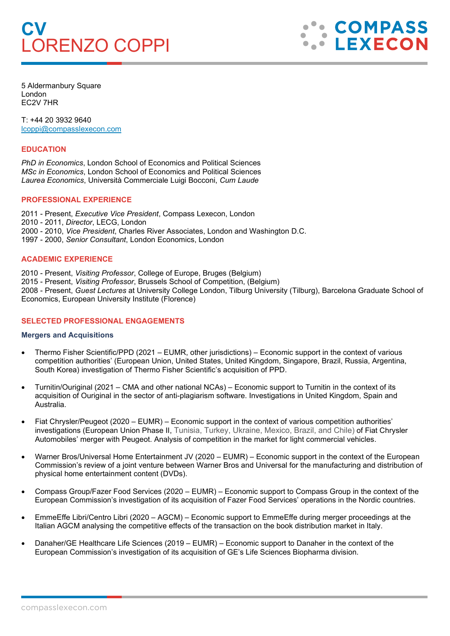# **CV** LORENZO COPPI



5 Aldermanbury Square London EC2V 7HR

T: +44 20 3932 9640 [lcoppi@compasslexecon.com](mailto:lcoppi@compasslexecon.com) 

## **EDUCATION**

*PhD in Economics*, London School of Economics and Political Sciences *MSc in Economics*, London School of Economics and Political Sciences *Laurea Economics*, Università Commerciale Luigi Bocconi, *Cum Laude*

## **PROFESSIONAL EXPERIENCE**

2011 - Present, *Executive Vice President*, Compass Lexecon, London 2010 - 2011, *Director*, LECG, London 2000 - 2010, *Vice President*, Charles River Associates, London and Washington D.C. 1997 - 2000, *Senior Consultant*, London Economics, London

## **ACADEMIC EXPERIENCE**

2010 - Present, *Visiting Professor*, College of Europe, Bruges (Belgium)

2015 - Present, *Visiting Professor*, Brussels School of Competition, (Belgium) 2008 - Present, *Guest Lectures* at University College London, Tilburg University (Tilburg), Barcelona Graduate School of Economics, European University Institute (Florence)

# **SELECTED PROFESSIONAL ENGAGEMENTS**

### **Mergers and Acquisitions**

- Thermo Fisher Scientific/PPD (2021 EUMR, other jurisdictions) Economic support in the context of various competition authorities' (European Union, United States, United Kingdom, Singapore, Brazil, Russia, Argentina, South Korea) investigation of Thermo Fisher Scientific's acquisition of PPD.
- Turnitin/Ouriginal (2021 CMA and other national NCAs) Economic support to Turnitin in the context of its acquisition of Ouriginal in the sector of anti-plagiarism software. Investigations in United Kingdom, Spain and Australia.
- Fiat Chrysler/Peugeot (2020 EUMR) Economic support in the context of various competition authorities' investigations (European Union Phase II, Tunisia, Turkey, Ukraine, Mexico, Brazil, and Chile) of Fiat Chrysler Automobiles' merger with Peugeot. Analysis of competition in the market for light commercial vehicles.
- Warner Bros/Universal Home Entertainment JV (2020 EUMR) Economic support in the context of the European Commission's review of a joint venture between Warner Bros and Universal for the manufacturing and distribution of physical home entertainment content (DVDs).
- Compass Group/Fazer Food Services (2020 EUMR) Economic support to Compass Group in the context of the European Commission's investigation of its acquisition of Fazer Food Services' operations in the Nordic countries.
- EmmeEffe Libri/Centro Libri (2020 AGCM) Economic support to EmmeEffe during merger proceedings at the Italian AGCM analysing the competitive effects of the transaction on the book distribution market in Italy.
- Danaher/GE Healthcare Life Sciences (2019 EUMR) Economic support to Danaher in the context of the European Commission's investigation of its acquisition of GE's Life Sciences Biopharma division.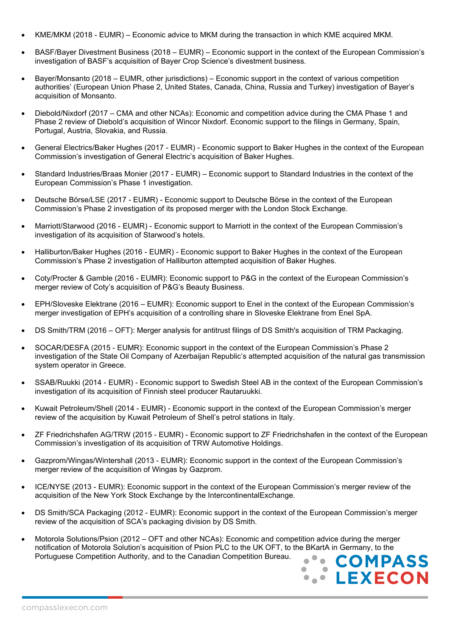- KME/MKM (2018 EUMR) Economic advice to MKM during the transaction in which KME acquired MKM.
- BASF/Bayer Divestment Business (2018 EUMR) Economic support in the context of the European Commission's investigation of BASF's acquisition of Bayer Crop Science's divestment business.
- Bayer/Monsanto (2018 EUMR, other jurisdictions) Economic support in the context of various competition authorities' (European Union Phase 2, United States, Canada, China, Russia and Turkey) investigation of Bayer's acquisition of Monsanto.
- Diebold/Nixdorf (2017 CMA and other NCAs): Economic and competition advice during the CMA Phase 1 and Phase 2 review of Diebold's acquisition of Wincor Nixdorf. Economic support to the filings in Germany, Spain, Portugal, Austria, Slovakia, and Russia.
- General Electrics/Baker Hughes (2017 EUMR) Economic support to Baker Hughes in the context of the European Commission's investigation of General Electric's acquisition of Baker Hughes.
- Standard Industries/Braas Monier (2017 EUMR) Economic support to Standard Industries in the context of the European Commission's Phase 1 investigation.
- Deutsche Börse/LSE (2017 EUMR) Economic support to Deutsche Börse in the context of the European Commission's Phase 2 investigation of its proposed merger with the London Stock Exchange.
- Marriott/Starwood (2016 EUMR) Economic support to Marriott in the context of the European Commission's investigation of its acquisition of Starwood's hotels.
- Halliburton/Baker Hughes (2016 EUMR) Economic support to Baker Hughes in the context of the European Commission's Phase 2 investigation of Halliburton attempted acquisition of Baker Hughes.
- Coty/Procter & Gamble (2016 EUMR): Economic support to P&G in the context of the European Commission's merger review of Coty's acquisition of P&G's Beauty Business.
- EPH/Sloveske Elektrane (2016 EUMR): Economic support to Enel in the context of the European Commission's merger investigation of EPH's acquisition of a controlling share in Sloveske Elektrane from Enel SpA.
- DS Smith/TRM (2016 OFT): Merger analysis for antitrust filings of DS Smith's acquisition of TRM Packaging.
- SOCAR/DESFA (2015 EUMR): Economic support in the context of the European Commission's Phase 2 investigation of the State Oil Company of Azerbaijan Republic's attempted acquisition of the natural gas transmission system operator in Greece.
- SSAB/Ruukki (2014 EUMR) Economic support to Swedish Steel AB in the context of the European Commission's investigation of its acquisition of Finnish steel producer Rautaruukki.
- Kuwait Petroleum/Shell (2014 EUMR) Economic support in the context of the European Commission's merger review of the acquisition by Kuwait Petroleum of Shell's petrol stations in Italy.
- ZF Friedrichshafen AG/TRW (2015 EUMR) Economic support to ZF Friedrichshafen in the context of the European Commission's investigation of its acquisition of TRW Automotive Holdings.
- Gazprom/Wingas/Wintershall (2013 EUMR): Economic support in the context of the European Commission's merger review of the acquisition of Wingas by Gazprom.
- ICE/NYSE (2013 EUMR): Economic support in the context of the European Commission's merger review of the acquisition of the New York Stock Exchange by the IntercontinentalExchange.
- DS Smith/SCA Packaging (2012 EUMR): Economic support in the context of the European Commission's merger review of the acquisition of SCA's packaging division by DS Smith.
- Motorola Solutions/Psion (2012 OFT and other NCAs): Economic and competition advice during the merger notification of Motorola Solution's acquisition of Psion PLC to the UK OFT, to the BKartA in Germany, to the Portuguese Competition Authority, and to the Canadian Competition Bureau.

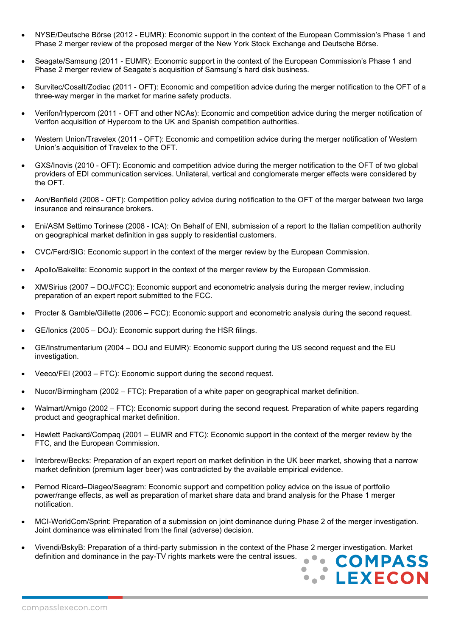- NYSE/Deutsche Börse (2012 EUMR): Economic support in the context of the European Commission's Phase 1 and Phase 2 merger review of the proposed merger of the New York Stock Exchange and Deutsche Börse.
- Seagate/Samsung (2011 EUMR): Economic support in the context of the European Commission's Phase 1 and Phase 2 merger review of Seagate's acquisition of Samsung's hard disk business.
- Survitec/Cosalt/Zodiac (2011 OFT): Economic and competition advice during the merger notification to the OFT of a three-way merger in the market for marine safety products.
- Verifon/Hypercom (2011 OFT and other NCAs): Economic and competition advice during the merger notification of Verifon acquisition of Hypercom to the UK and Spanish competition authorities.
- Western Union/Travelex (2011 OFT): Economic and competition advice during the merger notification of Western Union's acquisition of Travelex to the OFT.
- GXS/Inovis (2010 OFT): Economic and competition advice during the merger notification to the OFT of two global providers of EDI communication services. Unilateral, vertical and conglomerate merger effects were considered by the OFT.
- Aon/Benfield (2008 OFT): Competition policy advice during notification to the OFT of the merger between two large insurance and reinsurance brokers.
- Eni/ASM Settimo Torinese (2008 ICA): On Behalf of ENI, submission of a report to the Italian competition authority on geographical market definition in gas supply to residential customers.
- CVC/Ferd/SIG: Economic support in the context of the merger review by the European Commission.
- Apollo/Bakelite: Economic support in the context of the merger review by the European Commission.
- XM/Sirius (2007 DOJ/FCC): Economic support and econometric analysis during the merger review, including preparation of an expert report submitted to the FCC.
- Procter & Gamble/Gillette (2006 FCC): Economic support and econometric analysis during the second request.
- GE/Ionics (2005 DOJ): Economic support during the HSR filings.
- GE/Instrumentarium (2004 DOJ and EUMR): Economic support during the US second request and the EU investigation.
- Veeco/FEI (2003 FTC): Economic support during the second request.
- Nucor/Birmingham (2002 FTC): Preparation of a white paper on geographical market definition.
- Walmart/Amigo (2002 FTC): Economic support during the second request. Preparation of white papers regarding product and geographical market definition.
- Hewlett Packard/Compaq (2001 EUMR and FTC): Economic support in the context of the merger review by the FTC, and the European Commission.
- Interbrew/Becks: Preparation of an expert report on market definition in the UK beer market, showing that a narrow market definition (premium lager beer) was contradicted by the available empirical evidence.
- Pernod Ricard–Diageo/Seagram: Economic support and competition policy advice on the issue of portfolio power/range effects, as well as preparation of market share data and brand analysis for the Phase 1 merger notification.
- MCI-WorldCom/Sprint: Preparation of a submission on joint dominance during Phase 2 of the merger investigation. Joint dominance was eliminated from the final (adverse) decision.
- Vivendi/BskyB: Preparation of a third-party submission in the context of the Phase 2 merger investigation. Market definition and dominance in the pay-TV rights markets were the central issues.

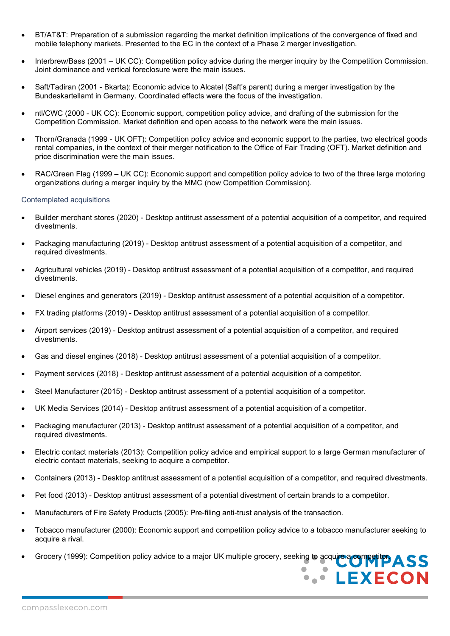- BT/AT&T: Preparation of a submission regarding the market definition implications of the convergence of fixed and mobile telephony markets. Presented to the EC in the context of a Phase 2 merger investigation.
- Interbrew/Bass (2001 UK CC): Competition policy advice during the merger inquiry by the Competition Commission. Joint dominance and vertical foreclosure were the main issues.
- Saft/Tadiran (2001 Bkarta): Economic advice to Alcatel (Saft's parent) during a merger investigation by the Bundeskartellamt in Germany. Coordinated effects were the focus of the investigation.
- ntl/CWC (2000 UK CC): Economic support, competition policy advice, and drafting of the submission for the Competition Commission. Market definition and open access to the network were the main issues.
- Thorn/Granada (1999 UK OFT): Competition policy advice and economic support to the parties, two electrical goods rental companies, in the context of their merger notification to the Office of Fair Trading (OFT). Market definition and price discrimination were the main issues.
- RAC/Green Flag (1999 UK CC): Economic support and competition policy advice to two of the three large motoring organizations during a merger inquiry by the MMC (now Competition Commission).

### Contemplated acquisitions

- Builder merchant stores (2020) Desktop antitrust assessment of a potential acquisition of a competitor, and required divestments.
- Packaging manufacturing (2019) Desktop antitrust assessment of a potential acquisition of a competitor, and required divestments.
- Agricultural vehicles (2019) Desktop antitrust assessment of a potential acquisition of a competitor, and required divestments.
- Diesel engines and generators (2019) Desktop antitrust assessment of a potential acquisition of a competitor.
- FX trading platforms (2019) Desktop antitrust assessment of a potential acquisition of a competitor.
- Airport services (2019) Desktop antitrust assessment of a potential acquisition of a competitor, and required divestments.
- Gas and diesel engines (2018) Desktop antitrust assessment of a potential acquisition of a competitor.
- Payment services (2018) Desktop antitrust assessment of a potential acquisition of a competitor.
- Steel Manufacturer (2015) Desktop antitrust assessment of a potential acquisition of a competitor.
- UK Media Services (2014) Desktop antitrust assessment of a potential acquisition of a competitor.
- Packaging manufacturer (2013) Desktop antitrust assessment of a potential acquisition of a competitor, and required divestments.
- Electric contact materials (2013): Competition policy advice and empirical support to a large German manufacturer of electric contact materials, seeking to acquire a competitor.
- Containers (2013) Desktop antitrust assessment of a potential acquisition of a competitor, and required divestments.
- Pet food (2013) Desktop antitrust assessment of a potential divestment of certain brands to a competitor.
- Manufacturers of Fire Safety Products (2005): Pre-filing anti-trust analysis of the transaction.
- Tobacco manufacturer (2000): Economic support and competition policy advice to a tobacco manufacturer seeking to acquire a rival.
- Grocery (1999): Competition policy advice to a major UK multiple grocery, seeking to acquire a competitor.  $\begin{array}{c} \text{S} \text{S} \end{array}$

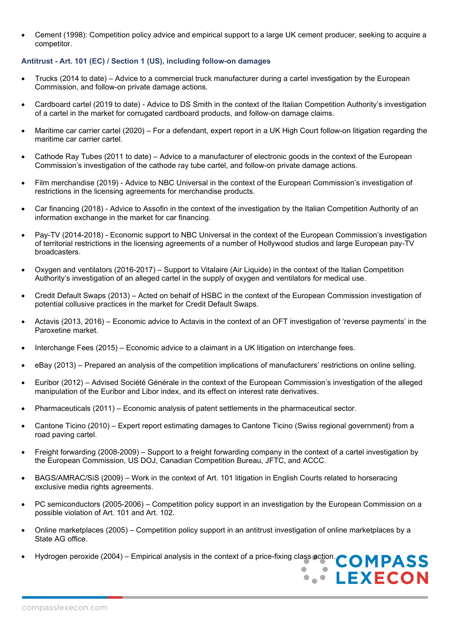• Cement (1998): Competition policy advice and empirical support to a large UK cement producer, seeking to acquire a competitor.

# **Antitrust - Art. 101 (EC) / Section 1 (US), including follow-on damages**

- Trucks (2014 to date) Advice to a commercial truck manufacturer during a cartel investigation by the European Commission, and follow-on private damage actions.
- Cardboard cartel (2019 to date) Advice to DS Smith in the context of the Italian Competition Authority's investigation of a cartel in the market for corrugated cardboard products, and follow-on damage claims.
- Maritime car carrier cartel (2020) For a defendant, expert report in a UK High Court follow-on litigation regarding the maritime car carrier cartel.
- Cathode Ray Tubes (2011 to date) Advice to a manufacturer of electronic goods in the context of the European Commission's investigation of the cathode ray tube cartel, and follow-on private damage actions.
- Film merchandise (2019) Advice to NBC Universal in the context of the European Commission's investigation of restrictions in the licensing agreements for merchandise products.
- Car financing (2018) Advice to Assofin in the context of the investigation by the Italian Competition Authority of an information exchange in the market for car financing.
- Pay-TV (2014-2018) Economic support to NBC Universal in the context of the European Commission's investigation of territorial restrictions in the licensing agreements of a number of Hollywood studios and large European pay-TV broadcasters.
- Oxygen and ventilators (2016-2017) Support to Vitalaire (Air Liquide) in the context of the Italian Competition Authority's investigation of an alleged cartel in the supply of oxygen and ventilators for medical use.
- Credit Default Swaps (2013) Acted on behalf of HSBC in the context of the European Commission investigation of potential collusive practices in the market for Credit Default Swaps.
- Actavis (2013, 2016) Economic advice to Actavis in the context of an OFT investigation of 'reverse payments' in the Paroxetine market.
- Interchange Fees (2015) Economic advice to a claimant in a UK litigation on interchange fees.
- eBay (2013) Prepared an analysis of the competition implications of manufacturers' restrictions on online selling.
- Euribor (2012) Advised Société Générale in the context of the European Commission's investigation of the alleged manipulation of the Euribor and Libor index, and its effect on interest rate derivatives.
- Pharmaceuticals (2011) Economic analysis of patent settlements in the pharmaceutical sector.
- Cantone Ticino (2010) Expert report estimating damages to Cantone Ticino (Swiss regional government) from a road paving cartel.
- Freight forwarding (2008-2009) Support to a freight forwarding company in the context of a cartel investigation by the European Commission, US DOJ, Canadian Competition Bureau, JFTC, and ACCC.
- BAGS/AMRAC/SiS (2009) Work in the context of Art. 101 litigation in English Courts related to horseracing exclusive media rights agreements.
- PC semiconductors (2005-2006) Competition policy support in an investigation by the European Commission on a possible violation of Art. 101 and Art. 102.
- Online marketplaces (2005) Competition policy support in an antitrust investigation of online marketplaces by a State AG office.
- Hydrogen peroxide (2004) Empirical analysis in the context of a price-fixing class action. COMPASS

 $\blacksquare$ 

**A. LEXECON** 

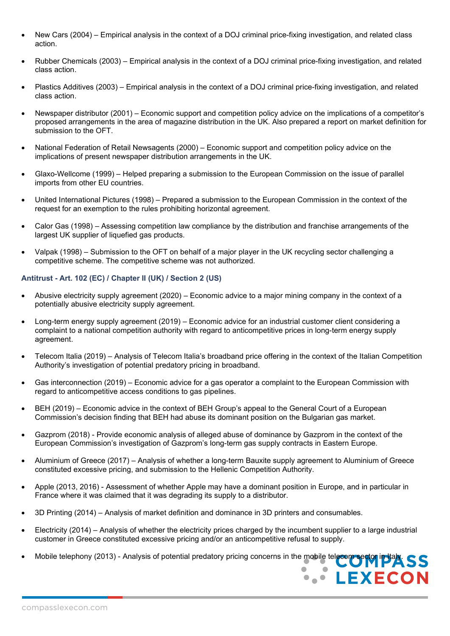- New Cars (2004) Empirical analysis in the context of a DOJ criminal price-fixing investigation, and related class action.
- Rubber Chemicals (2003) Empirical analysis in the context of a DOJ criminal price-fixing investigation, and related class action.
- Plastics Additives (2003) Empirical analysis in the context of a DOJ criminal price-fixing investigation, and related class action.
- Newspaper distributor (2001) Economic support and competition policy advice on the implications of a competitor's proposed arrangements in the area of magazine distribution in the UK. Also prepared a report on market definition for submission to the OFT.
- National Federation of Retail Newsagents (2000) Economic support and competition policy advice on the implications of present newspaper distribution arrangements in the UK.
- Glaxo-Wellcome (1999) Helped preparing a submission to the European Commission on the issue of parallel imports from other EU countries.
- United International Pictures (1998) Prepared a submission to the European Commission in the context of the request for an exemption to the rules prohibiting horizontal agreement.
- Calor Gas (1998) Assessing competition law compliance by the distribution and franchise arrangements of the largest UK supplier of liquefied gas products.
- Valpak (1998) Submission to the OFT on behalf of a major player in the UK recycling sector challenging a competitive scheme. The competitive scheme was not authorized.

# **Antitrust - Art. 102 (EC) / Chapter II (UK) / Section 2 (US)**

- Abusive electricity supply agreement (2020) Economic advice to a major mining company in the context of a potentially abusive electricity supply agreement.
- Long-term energy supply agreement (2019) Economic advice for an industrial customer client considering a complaint to a national competition authority with regard to anticompetitive prices in long-term energy supply agreement.
- Telecom Italia (2019) Analysis of Telecom Italia's broadband price offering in the context of the Italian Competition Authority's investigation of potential predatory pricing in broadband.
- Gas interconnection (2019) Economic advice for a gas operator a complaint to the European Commission with regard to anticompetitive access conditions to gas pipelines.
- BEH (2019) Economic advice in the context of BEH Group's appeal to the General Court of a European Commission's decision finding that BEH had abuse its dominant position on the Bulgarian gas market.
- Gazprom (2018) Provide economic analysis of alleged abuse of dominance by Gazprom in the context of the European Commission's investigation of Gazprom's long-term gas supply contracts in Eastern Europe.
- Aluminium of Greece (2017) Analysis of whether a long-term Bauxite supply agreement to Aluminium of Greece constituted excessive pricing, and submission to the Hellenic Competition Authority.
- Apple (2013, 2016) Assessment of whether Apple may have a dominant position in Europe, and in particular in France where it was claimed that it was degrading its supply to a distributor.
- 3D Printing (2014) Analysis of market definition and dominance in 3D printers and consumables.
- Electricity (2014) Analysis of whether the electricity prices charged by the incumbent supplier to a large industrial customer in Greece constituted excessive pricing and/or an anticompetitive refusal to supply.
- Mobile telephony (2013) Analysis of potential predatory pricing concerns in the mobile telecom sector in Italy. SS

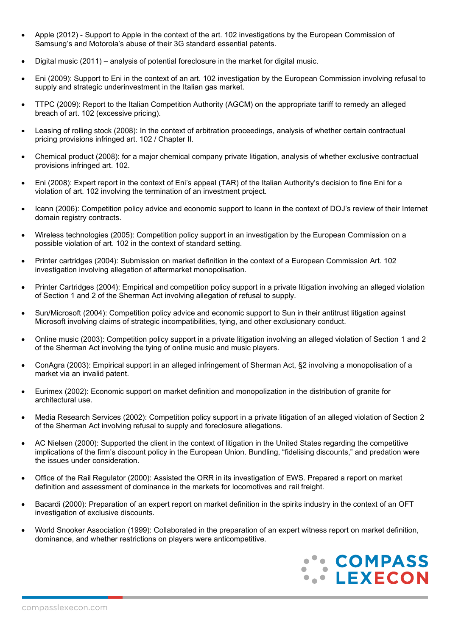- Apple (2012) Support to Apple in the context of the art. 102 investigations by the European Commission of Samsung's and Motorola's abuse of their 3G standard essential patents.
- Digital music (2011) analysis of potential foreclosure in the market for digital music.
- Eni (2009): Support to Eni in the context of an art. 102 investigation by the European Commission involving refusal to supply and strategic underinvestment in the Italian gas market.
- TTPC (2009): Report to the Italian Competition Authority (AGCM) on the appropriate tariff to remedy an alleged breach of art. 102 (excessive pricing).
- Leasing of rolling stock (2008): In the context of arbitration proceedings, analysis of whether certain contractual pricing provisions infringed art. 102 / Chapter II.
- Chemical product (2008): for a major chemical company private litigation, analysis of whether exclusive contractual provisions infringed art. 102.
- Eni (2008): Expert report in the context of Eni's appeal (TAR) of the Italian Authority's decision to fine Eni for a violation of art. 102 involving the termination of an investment project.
- Icann (2006): Competition policy advice and economic support to Icann in the context of DOJ's review of their Internet domain registry contracts.
- Wireless technologies (2005): Competition policy support in an investigation by the European Commission on a possible violation of art. 102 in the context of standard setting.
- Printer cartridges (2004): Submission on market definition in the context of a European Commission Art. 102 investigation involving allegation of aftermarket monopolisation.
- Printer Cartridges (2004): Empirical and competition policy support in a private litigation involving an alleged violation of Section 1 and 2 of the Sherman Act involving allegation of refusal to supply.
- Sun/Microsoft (2004): Competition policy advice and economic support to Sun in their antitrust litigation against Microsoft involving claims of strategic incompatibilities, tying, and other exclusionary conduct.
- Online music (2003): Competition policy support in a private litigation involving an alleged violation of Section 1 and 2 of the Sherman Act involving the tying of online music and music players.
- ConAgra (2003): Empirical support in an alleged infringement of Sherman Act, §2 involving a monopolisation of a market via an invalid patent.
- Eurimex (2002): Economic support on market definition and monopolization in the distribution of granite for architectural use.
- Media Research Services (2002): Competition policy support in a private litigation of an alleged violation of Section 2 of the Sherman Act involving refusal to supply and foreclosure allegations.
- AC Nielsen (2000): Supported the client in the context of litigation in the United States regarding the competitive implications of the firm's discount policy in the European Union. Bundling, "fidelising discounts," and predation were the issues under consideration.
- Office of the Rail Regulator (2000): Assisted the ORR in its investigation of EWS. Prepared a report on market definition and assessment of dominance in the markets for locomotives and rail freight.
- Bacardi (2000): Preparation of an expert report on market definition in the spirits industry in the context of an OFT investigation of exclusive discounts.
- World Snooker Association (1999): Collaborated in the preparation of an expert witness report on market definition, dominance, and whether restrictions on players were anticompetitive.

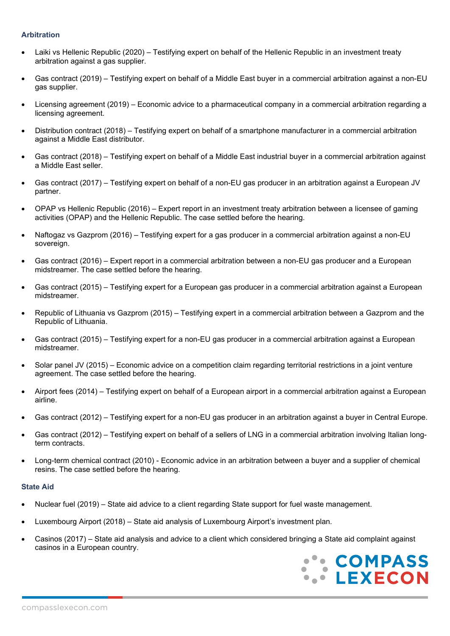## **Arbitration**

- Laiki vs Hellenic Republic (2020) Testifying expert on behalf of the Hellenic Republic in an investment treaty arbitration against a gas supplier.
- Gas contract (2019) Testifying expert on behalf of a Middle East buyer in a commercial arbitration against a non-EU gas supplier.
- Licensing agreement (2019) Economic advice to a pharmaceutical company in a commercial arbitration regarding a licensing agreement.
- Distribution contract (2018) Testifying expert on behalf of a smartphone manufacturer in a commercial arbitration against a Middle East distributor.
- Gas contract (2018) Testifying expert on behalf of a Middle East industrial buyer in a commercial arbitration against a Middle East seller.
- Gas contract (2017) Testifying expert on behalf of a non-EU gas producer in an arbitration against a European JV partner.
- OPAP vs Hellenic Republic (2016) Expert report in an investment treaty arbitration between a licensee of gaming activities (OPAP) and the Hellenic Republic. The case settled before the hearing.
- Naftogaz vs Gazprom (2016) Testifying expert for a gas producer in a commercial arbitration against a non-EU sovereign.
- Gas contract (2016) Expert report in a commercial arbitration between a non-EU gas producer and a European midstreamer. The case settled before the hearing.
- Gas contract (2015) Testifying expert for a European gas producer in a commercial arbitration against a European midstreamer.
- Republic of Lithuania vs Gazprom (2015) Testifying expert in a commercial arbitration between a Gazprom and the Republic of Lithuania.
- Gas contract (2015) Testifying expert for a non-EU gas producer in a commercial arbitration against a European midstreamer.
- Solar panel JV (2015) Economic advice on a competition claim regarding territorial restrictions in a joint venture agreement. The case settled before the hearing.
- Airport fees (2014) Testifying expert on behalf of a European airport in a commercial arbitration against a European airline.
- Gas contract (2012) Testifying expert for a non-EU gas producer in an arbitration against a buyer in Central Europe.
- Gas contract (2012) Testifying expert on behalf of a sellers of LNG in a commercial arbitration involving Italian longterm contracts.
- Long-term chemical contract (2010) Economic advice in an arbitration between a buyer and a supplier of chemical resins. The case settled before the hearing.

## **State Aid**

- Nuclear fuel (2019) State aid advice to a client regarding State support for fuel waste management.
- Luxembourg Airport (2018) State aid analysis of Luxembourg Airport's investment plan.
- Casinos (2017) State aid analysis and advice to a client which considered bringing a State aid complaint against casinos in a European country.

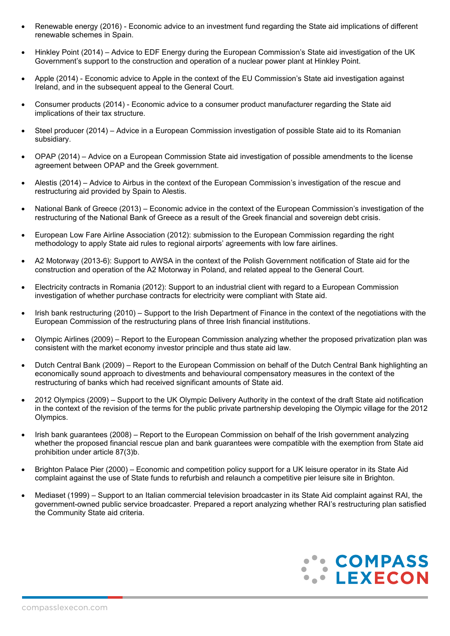- Renewable energy (2016) Economic advice to an investment fund regarding the State aid implications of different renewable schemes in Spain.
- Hinkley Point (2014) Advice to EDF Energy during the European Commission's State aid investigation of the UK Government's support to the construction and operation of a nuclear power plant at Hinkley Point.
- Apple (2014) Economic advice to Apple in the context of the EU Commission's State aid investigation against Ireland, and in the subsequent appeal to the General Court.
- Consumer products (2014) Economic advice to a consumer product manufacturer regarding the State aid implications of their tax structure.
- Steel producer (2014) Advice in a European Commission investigation of possible State aid to its Romanian subsidiary.
- OPAP (2014) Advice on a European Commission State aid investigation of possible amendments to the license agreement between OPAP and the Greek government.
- Alestis (2014) Advice to Airbus in the context of the European Commission's investigation of the rescue and restructuring aid provided by Spain to Alestis.
- National Bank of Greece (2013) Economic advice in the context of the European Commission's investigation of the restructuring of the National Bank of Greece as a result of the Greek financial and sovereign debt crisis.
- European Low Fare Airline Association (2012): submission to the European Commission regarding the right methodology to apply State aid rules to regional airports' agreements with low fare airlines.
- A2 Motorway (2013-6): Support to AWSA in the context of the Polish Government notification of State aid for the construction and operation of the A2 Motorway in Poland, and related appeal to the General Court.
- Electricity contracts in Romania (2012): Support to an industrial client with regard to a European Commission investigation of whether purchase contracts for electricity were compliant with State aid.
- Irish bank restructuring (2010) Support to the Irish Department of Finance in the context of the negotiations with the European Commission of the restructuring plans of three Irish financial institutions.
- Olympic Airlines (2009) Report to the European Commission analyzing whether the proposed privatization plan was consistent with the market economy investor principle and thus state aid law.
- Dutch Central Bank (2009) Report to the European Commission on behalf of the Dutch Central Bank highlighting an economically sound approach to divestments and behavioural compensatory measures in the context of the restructuring of banks which had received significant amounts of State aid.
- 2012 Olympics (2009) Support to the UK Olympic Delivery Authority in the context of the draft State aid notification in the context of the revision of the terms for the public private partnership developing the Olympic village for the 2012 Olympics.
- Irish bank guarantees (2008) Report to the European Commission on behalf of the Irish government analyzing whether the proposed financial rescue plan and bank guarantees were compatible with the exemption from State aid prohibition under article 87(3)b.
- Brighton Palace Pier (2000) Economic and competition policy support for a UK leisure operator in its State Aid complaint against the use of State funds to refurbish and relaunch a competitive pier leisure site in Brighton.
- Mediaset (1999) Support to an Italian commercial television broadcaster in its State Aid complaint against RAI, the government-owned public service broadcaster. Prepared a report analyzing whether RAI's restructuring plan satisfied the Community State aid criteria.

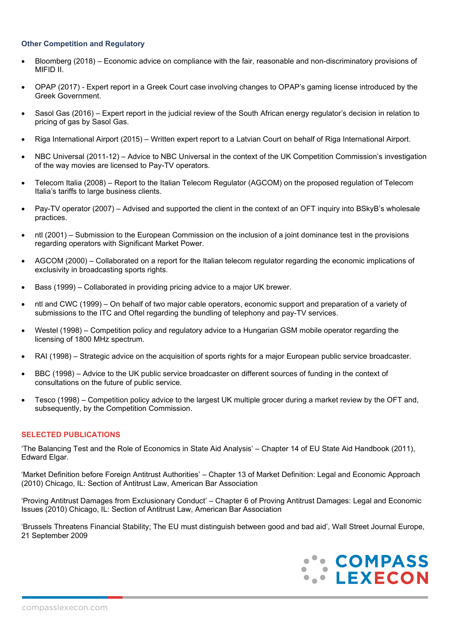## **Other Competition and Regulatory**

- Bloomberg (2018) Economic advice on compliance with the fair, reasonable and non-discriminatory provisions of MIFID II.
- OPAP (2017) Expert report in a Greek Court case involving changes to OPAP's gaming license introduced by the Greek Government.
- Sasol Gas (2016) Expert report in the judicial review of the South African energy regulator's decision in relation to pricing of gas by Sasol Gas.
- Riga International Airport (2015) Written expert report to a Latvian Court on behalf of Riga International Airport.
- NBC Universal (2011-12) Advice to NBC Universal in the context of the UK Competition Commission's investigation of the way movies are licensed to Pay-TV operators.
- Telecom Italia (2008) Report to the Italian Telecom Regulator (AGCOM) on the proposed regulation of Telecom Italia's tariffs to large business clients.
- Pay-TV operator (2007) Advised and supported the client in the context of an OFT inquiry into BSkyB's wholesale practices.
- ntl (2001) Submission to the European Commission on the inclusion of a joint dominance test in the provisions regarding operators with Significant Market Power.
- AGCOM (2000) Collaborated on a report for the Italian telecom regulator regarding the economic implications of exclusivity in broadcasting sports rights.
- Bass (1999) Collaborated in providing pricing advice to a major UK brewer.
- ntl and CWC (1999) On behalf of two major cable operators, economic support and preparation of a variety of submissions to the ITC and Oftel regarding the bundling of telephony and pay-TV services.
- Westel (1998) Competition policy and regulatory advice to a Hungarian GSM mobile operator regarding the licensing of 1800 MHz spectrum.
- RAI (1998) Strategic advice on the acquisition of sports rights for a major European public service broadcaster.
- BBC (1998) Advice to the UK public service broadcaster on different sources of funding in the context of consultations on the future of public service.
- Tesco (1998) Competition policy advice to the largest UK multiple grocer during a market review by the OFT and, subsequently, by the Competition Commission.

# **SELECTED PUBLICATIONS**

'The Balancing Test and the Role of Economics in State Aid Analysis' – Chapter 14 of EU State Aid Handbook (2011), Edward Elgar.

'Market Definition before Foreign Antitrust Authorities' – Chapter 13 of Market Definition: Legal and Economic Approach (2010) Chicago, IL: Section of Antitrust Law, American Bar Association

'Proving Antitrust Damages from Exclusionary Conduct' – Chapter 6 of Proving Antitrust Damages: Legal and Economic Issues (2010) Chicago, IL: Section of Antitrust Law, American Bar Association

'Brussels Threatens Financial Stability; The EU must distinguish between good and bad aid', Wall Street Journal Europe, 21 September 2009